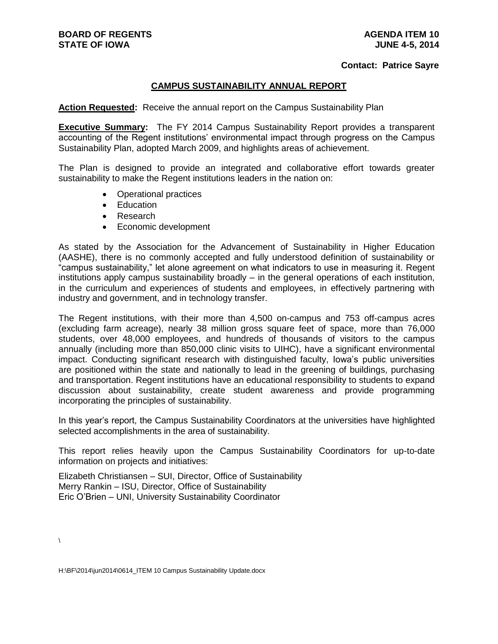#### **Contact: Patrice Sayre**

## **CAMPUS SUSTAINABILITY ANNUAL REPORT**

**Action Requested:** Receive the annual report on the Campus Sustainability Plan

**Executive Summary:** The FY 2014 Campus Sustainability Report provides a transparent accounting of the Regent institutions' environmental impact through progress on the Campus Sustainability Plan, adopted March 2009, and highlights areas of achievement.

The Plan is designed to provide an integrated and collaborative effort towards greater sustainability to make the Regent institutions leaders in the nation on:

- Operational practices
- Education
- Research
- Economic development

As stated by the Association for the Advancement of Sustainability in Higher Education (AASHE), there is no commonly accepted and fully understood definition of sustainability or "campus sustainability," let alone agreement on what indicators to use in measuring it. Regent institutions apply campus sustainability broadly – in the general operations of each institution, in the curriculum and experiences of students and employees, in effectively partnering with industry and government, and in technology transfer.

The Regent institutions, with their more than 4,500 on-campus and 753 off-campus acres (excluding farm acreage), nearly 38 million gross square feet of space, more than 76,000 students, over 48,000 employees, and hundreds of thousands of visitors to the campus annually (including more than 850,000 clinic visits to UIHC), have a significant environmental impact. Conducting significant research with distinguished faculty, Iowa's public universities are positioned within the state and nationally to lead in the greening of buildings, purchasing and transportation. Regent institutions have an educational responsibility to students to expand discussion about sustainability, create student awareness and provide programming incorporating the principles of sustainability.

In this year's report, the Campus Sustainability Coordinators at the universities have highlighted selected accomplishments in the area of sustainability.

This report relies heavily upon the Campus Sustainability Coordinators for up-to-date information on projects and initiatives:

Elizabeth Christiansen – SUI, Director, Office of Sustainability Merry Rankin – ISU, Director, Office of Sustainability Eric O'Brien – UNI, University Sustainability Coordinator

 $\lambda$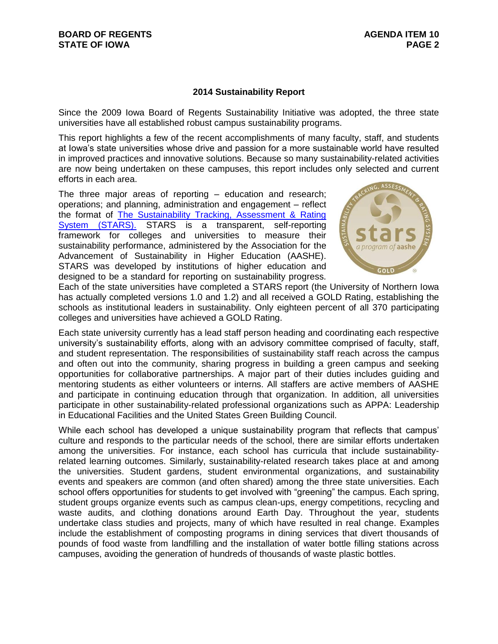## **2014 Sustainability Report**

Since the 2009 Iowa Board of Regents Sustainability Initiative was adopted, the three state universities have all established robust campus sustainability programs.

This report highlights a few of the recent accomplishments of many faculty, staff, and students at Iowa's state universities whose drive and passion for a more sustainable world have resulted in improved practices and innovative solutions. Because so many sustainability-related activities are now being undertaken on these campuses, this report includes only selected and current efforts in each area.

The three major areas of reporting – education and research; operations; and planning, administration and engagement – reflect the format of **The Sustainability Tracking, Assessment & Rating** [System \(STARS\).](https://stars.aashe.org/) STARS is a transparent, self-reporting framework for colleges and universities to measure their sustainability performance, administered by the Association for the Advancement of Sustainability in Higher Education (AASHE). STARS was developed by institutions of higher education and designed to be a standard for reporting on sustainability progress.



Each of the state universities have completed a STARS report (the University of Northern Iowa has actually completed versions 1.0 and 1.2) and all received a GOLD Rating, establishing the schools as institutional leaders in sustainability. Only eighteen percent of all 370 participating colleges and universities have achieved a GOLD Rating.

Each state university currently has a lead staff person heading and coordinating each respective university's sustainability efforts, along with an advisory committee comprised of faculty, staff, and student representation. The responsibilities of sustainability staff reach across the campus and often out into the community, sharing progress in building a green campus and seeking opportunities for collaborative partnerships. A major part of their duties includes guiding and mentoring students as either volunteers or interns. All staffers are active members of AASHE and participate in continuing education through that organization. In addition, all universities participate in other sustainability-related professional organizations such as APPA: Leadership in Educational Facilities and the United States Green Building Council.

While each school has developed a unique sustainability program that reflects that campus' culture and responds to the particular needs of the school, there are similar efforts undertaken among the universities. For instance, each school has curricula that include sustainabilityrelated learning outcomes. Similarly, sustainability-related research takes place at and among the universities. Student gardens, student environmental organizations, and sustainability events and speakers are common (and often shared) among the three state universities. Each school offers opportunities for students to get involved with "greening" the campus. Each spring, student groups organize events such as campus clean-ups, energy competitions, recycling and waste audits, and clothing donations around Earth Day. Throughout the year, students undertake class studies and projects, many of which have resulted in real change. Examples include the establishment of composting programs in dining services that divert thousands of pounds of food waste from landfilling and the installation of water bottle filling stations across campuses, avoiding the generation of hundreds of thousands of waste plastic bottles.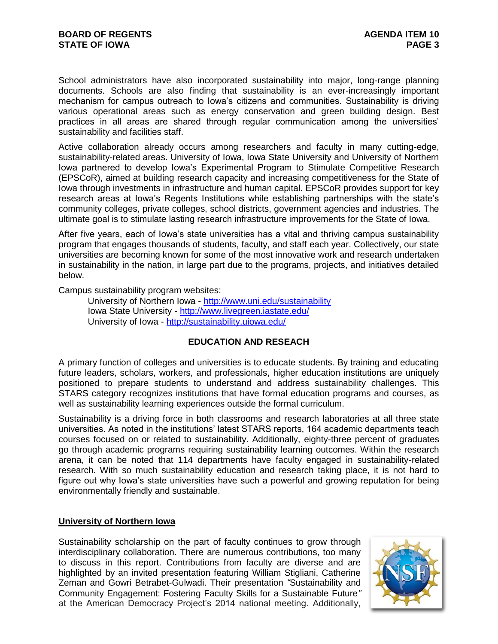School administrators have also incorporated sustainability into major, long-range planning documents. Schools are also finding that sustainability is an ever-increasingly important mechanism for campus outreach to Iowa's citizens and communities. Sustainability is driving various operational areas such as energy conservation and green building design. Best practices in all areas are shared through regular communication among the universities' sustainability and facilities staff.

Active collaboration already occurs among researchers and faculty in many cutting-edge, sustainability-related areas. University of Iowa, Iowa State University and University of Northern Iowa partnered to develop Iowa's Experimental Program to Stimulate Competitive Research (EPSCoR), aimed at building research capacity and increasing competitiveness for the State of Iowa through investments in infrastructure and human capital. EPSCoR provides support for key research areas at Iowa's Regents Institutions while establishing partnerships with the state's community colleges, private colleges, school districts, government agencies and industries. The ultimate goal is to stimulate lasting research infrastructure improvements for the State of Iowa.

After five years, each of Iowa's state universities has a vital and thriving campus sustainability program that engages thousands of students, faculty, and staff each year. Collectively, our state universities are becoming known for some of the most innovative work and research undertaken in sustainability in the nation, in large part due to the programs, projects, and initiatives detailed below.

Campus sustainability program websites:

University of Northern Iowa - <http://www.uni.edu/sustainability> Iowa State University - <http://www.livegreen.iastate.edu/> University of Iowa - <http://sustainability.uiowa.edu/>

# **EDUCATION AND RESEACH**

A primary function of colleges and universities is to educate students. By training and educating future leaders, scholars, workers, and professionals, higher education institutions are uniquely positioned to prepare students to understand and address sustainability challenges. This STARS category recognizes institutions that have formal education programs and courses, as well as sustainability learning experiences outside the formal curriculum.

Sustainability is a driving force in both classrooms and research laboratories at all three state universities. As noted in the institutions' latest STARS reports, 164 academic departments teach courses focused on or related to sustainability. Additionally, eighty-three percent of graduates go through academic programs requiring sustainability learning outcomes. Within the research arena, it can be noted that 114 departments have faculty engaged in sustainability-related research. With so much sustainability education and research taking place, it is not hard to figure out why Iowa's state universities have such a powerful and growing reputation for being environmentally friendly and sustainable.

## **University of Northern Iowa**

Sustainability scholarship on the part of faculty continues to grow through interdisciplinary collaboration. There are numerous contributions, too many to discuss in this report. Contributions from faculty are diverse and are highlighted by an invited presentation featuring William Stigliani, Catherine Zeman and Gowri Betrabet-Gulwadi. Their presentation *"*Sustainability and Community Engagement: Fostering Faculty Skills for a Sustainable Future*"* at the American Democracy Project's 2014 national meeting. Additionally,

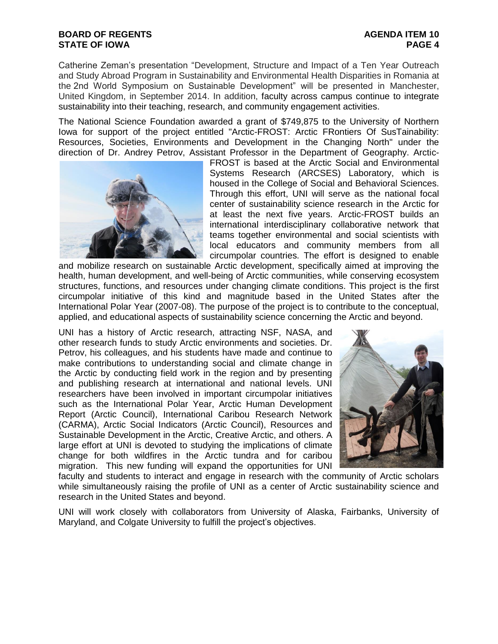Catherine Zeman's presentation "Development, Structure and Impact of a Ten Year Outreach and Study Abroad Program in Sustainability and Environmental Health Disparities in Romania at the 2nd World Symposium on Sustainable Development" will be presented in Manchester, United Kingdom, in September 2014. In addition, faculty across campus continue to integrate sustainability into their teaching, research, and community engagement activities.

The National Science Foundation awarded a grant of \$749,875 to the University of Northern Iowa for support of the project entitled "Arctic-FROST: Arctic FRontiers Of SusTainability: Resources, Societies, Environments and Development in the Changing North" under the direction of Dr. Andrey Petrov, Assistant Professor in the Department of Geography. Arctic-



FROST is based at the Arctic Social and Environmental Systems Research (ARCSES) Laboratory, which is housed in the College of Social and Behavioral Sciences. Through this effort, UNI will serve as the national focal center of sustainability science research in the Arctic for at least the next five years. Arctic-FROST builds an international interdisciplinary collaborative network that teams together environmental and social scientists with local educators and community members from all circumpolar countries. The effort is designed to enable

and mobilize research on sustainable Arctic development, specifically aimed at improving the health, human development, and well-being of Arctic communities, while conserving ecosystem structures, functions, and resources under changing climate conditions. This project is the first circumpolar initiative of this kind and magnitude based in the United States after the International Polar Year (2007-08). The purpose of the project is to contribute to the conceptual, applied, and educational aspects of sustainability science concerning the Arctic and beyond.

UNI has a history of Arctic research, attracting NSF, NASA, and other research funds to study Arctic environments and societies. Dr. Petrov, his colleagues, and his students have made and continue to make contributions to understanding social and climate change in the Arctic by conducting field work in the region and by presenting and publishing research at international and national levels. UNI researchers have been involved in important circumpolar initiatives such as the International Polar Year, Arctic Human Development Report (Arctic Council), International Caribou Research Network (CARMA), Arctic Social Indicators (Arctic Council), Resources and Sustainable Development in the Arctic, Creative Arctic, and others. A large effort at UNI is devoted to studying the implications of climate change for both wildfires in the Arctic tundra and for caribou migration. This new funding will expand the opportunities for UNI



faculty and students to interact and engage in research with the community of Arctic scholars while simultaneously raising the profile of UNI as a center of Arctic sustainability science and research in the United States and beyond.

UNI will work closely with collaborators from University of Alaska, Fairbanks, University of Maryland, and Colgate University to fulfill the project's objectives.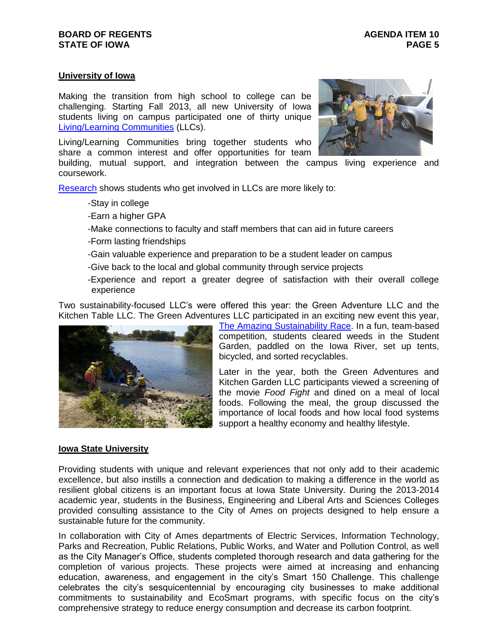## **University of Iowa**

Making the transition from high school to college can be challenging. Starting Fall 2013, all new University of Iowa students living on campus participated one of thirty unique [Living/Learning Communities](http://fye.uiowa.edu/admitted-now-what/living-learning-communities) (LLCs).

Living/Learning Communities bring together students who share a common interest and offer opportunities for team



building, mutual support, and integration between the campus living experience and coursework.

[Research](http://www.lc.uconn.edu/about/Living_Learning_Programs.pdf) shows students who get involved in LLCs are more likely to:

- -Stay in college
- -Earn a higher GPA
- -Make connections to faculty and staff members that can aid in future careers
- -Form lasting friendships
- -Gain valuable experience and preparation to be a student leader on campus
- -Give back to the local and global community through service projects
- -Experience and report a greater degree of satisfaction with their overall college experience

Two sustainability-focused LLC's were offered this year: the Green Adventure LLC and the Kitchen Table LLC. The Green Adventures LLC participated in an exciting new event this year,



[The Amazing Sustainability Race.](http://www.dailyiowan.com/2013/09/03/Metro/34398.html) In a fun, team-based competition, students cleared weeds in the Student Garden, paddled on the Iowa River, set up tents, bicycled, and sorted recyclables.

Later in the year, both the Green Adventures and Kitchen Garden LLC participants viewed a screening of the movie *Food Fight* and dined on a meal of local foods. Following the meal, the group discussed the importance of local foods and how local food systems support a healthy economy and healthy lifestyle.

#### **Iowa State University**

Providing students with unique and relevant experiences that not only add to their academic excellence, but also instills a connection and dedication to making a difference in the world as resilient global citizens is an important focus at Iowa State University. During the 2013-2014 academic year, students in the Business, Engineering and Liberal Arts and Sciences Colleges provided consulting assistance to the City of Ames on projects designed to help ensure a sustainable future for the community.

In collaboration with City of Ames departments of Electric Services, Information Technology, Parks and Recreation, Public Relations, Public Works, and Water and Pollution Control, as well as the City Manager's Office, students completed thorough research and data gathering for the completion of various projects. These projects were aimed at increasing and enhancing education, awareness, and engagement in the city's Smart 150 Challenge. This challenge celebrates the city's sesquicentennial by encouraging city businesses to make additional commitments to sustainability and EcoSmart programs, with specific focus on the city's comprehensive strategy to reduce energy consumption and decrease its carbon footprint.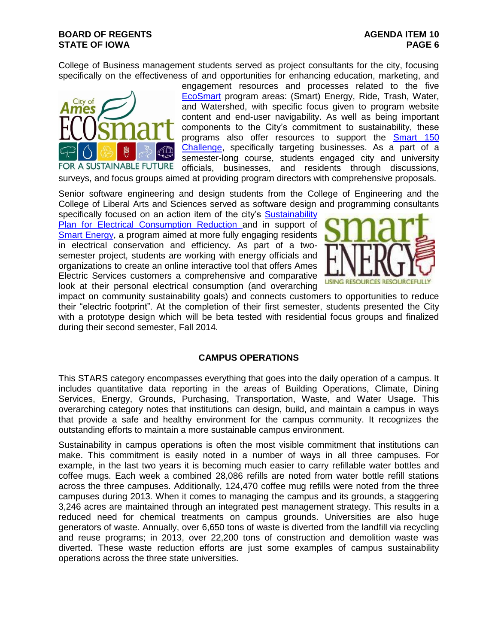College of Business management students served as project consultants for the city, focusing specifically on the effectiveness of and opportunities for enhancing education, marketing, and



engagement resources and processes related to the five [EcoSmart](http://www.cityofames.org/index.aspx?page=990) program areas: (Smart) Energy, Ride, Trash, Water, and Watershed, with specific focus given to program website content and end-user navigability. As well as being important components to the City's commitment to sustainability, these programs also offer resources to support the **Smart 150** [Challenge,](http://www.cityofames.org/index.aspx?page=1781) specifically targeting businesses. As a part of a semester-long course, students engaged city and university officials, businesses, and residents through discussions,

surveys, and focus groups aimed at providing program directors with comprehensive proposals.

Senior software engineering and design students from the College of Engineering and the College of Liberal Arts and Sciences served as software design and programming consultants

specifically focused on an action item of the city's Sustainability [Plan for Electrical Consumption Reduction a](http://www.cityofames.org/modules/showdocument.aspx?documentid=5054)nd in support of [Smart Energy,](http://www.cityofames.org/index.aspx?page=990) a program aimed at more fully engaging residents in electrical conservation and efficiency. As part of a twosemester project, students are working with energy officials and organizations to create an online interactive tool that offers Ames Electric Services customers a comprehensive and comparative look at their personal electrical consumption (and overarching



impact on community sustainability goals) and connects customers to opportunities to reduce their "electric footprint". At the completion of their first semester, students presented the City with a prototype design which will be beta tested with residential focus groups and finalized during their second semester, Fall 2014.

#### **CAMPUS OPERATIONS**

This STARS category encompasses everything that goes into the daily operation of a campus. It includes quantitative data reporting in the areas of Building Operations, Climate, Dining Services, Energy, Grounds, Purchasing, Transportation, Waste, and Water Usage. This overarching category notes that institutions can design, build, and maintain a campus in ways that provide a safe and healthy environment for the campus community. It recognizes the outstanding efforts to maintain a more sustainable campus environment.

Sustainability in campus operations is often the most visible commitment that institutions can make. This commitment is easily noted in a number of ways in all three campuses. For example, in the last two years it is becoming much easier to carry refillable water bottles and coffee mugs. Each week a combined 28,086 refills are noted from water bottle refill stations across the three campuses. Additionally, 124,470 coffee mug refills were noted from the three campuses during 2013. When it comes to managing the campus and its grounds, a staggering 3,246 acres are maintained through an integrated pest management strategy. This results in a reduced need for chemical treatments on campus grounds. Universities are also huge generators of waste. Annually, over 6,650 tons of waste is diverted from the landfill via recycling and reuse programs; in 2013, over 22,200 tons of construction and demolition waste was diverted. These waste reduction efforts are just some examples of campus sustainability operations across the three state universities.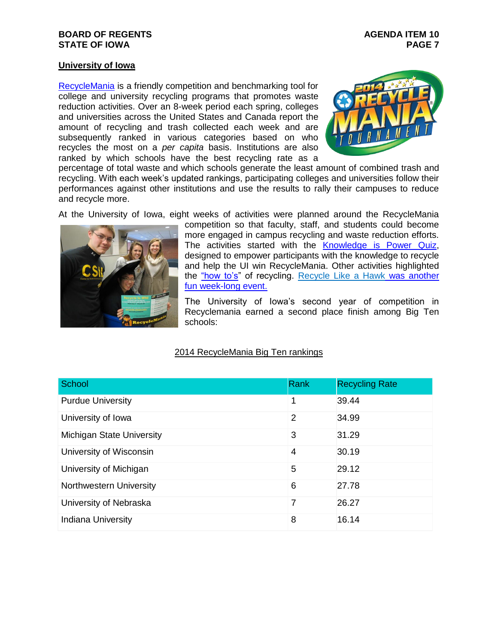## **University of Iowa**

[RecycleMania](http://sustainability.uiowa.edu/topics/recycle/recyclemania/) is a friendly competition and benchmarking tool for college and university recycling programs that promotes waste reduction activities. Over an 8-week period each spring, colleges and universities across the United States and Canada report the amount of recycling and trash collected each week and are subsequently ranked in various categories based on who recycles the most on a *per capita* basis. Institutions are also ranked by which schools have the best recycling rate as a



percentage of total waste and which schools generate the least amount of combined trash and recycling. With each week's updated rankings, participating colleges and universities follow their performances against other institutions and use the results to rally their campuses to reduce and recycle more.

At the University of Iowa, eight weeks of activities were planned around the RecycleMania



competition so that faculty, staff, and students could become more engaged in campus recycling and waste reduction efforts. The activities started with the [Knowledge is Power Quiz,](https://docs.google.com/forms/d/1F5uig84M2vxkc6XHlRWT_MzKOivzBVjLnnbQR9LPAyQ/viewform) designed to empower participants with the knowledge to recycle and help the UI win RecycleMania. Other activities highlighted the ["how to's"](https://www.youtube.com/watch?v=YrpQBcS91X0) of recycling. [Recycle Like a Hawk](https://www.youtube.com/watch?v=L-hu7di83zE) was another [fun week-long event.](https://www.youtube.com/watch?v=L-hu7di83zE)

The University of Iowa's second year of competition in Recyclemania earned a second place finish among Big Ten schools:

#### 2014 RecycleMania Big Ten rankings

| School                    | Rank           | <b>Recycling Rate</b> |
|---------------------------|----------------|-----------------------|
| <b>Purdue University</b>  | 1              | 39.44                 |
| University of Iowa        | $\overline{2}$ | 34.99                 |
| Michigan State University | 3              | 31.29                 |
| University of Wisconsin   | 4              | 30.19                 |
| University of Michigan    | 5              | 29.12                 |
| Northwestern University   | 6              | 27.78                 |
| University of Nebraska    | 7              | 26.27                 |
| Indiana University        | 8              | 16.14                 |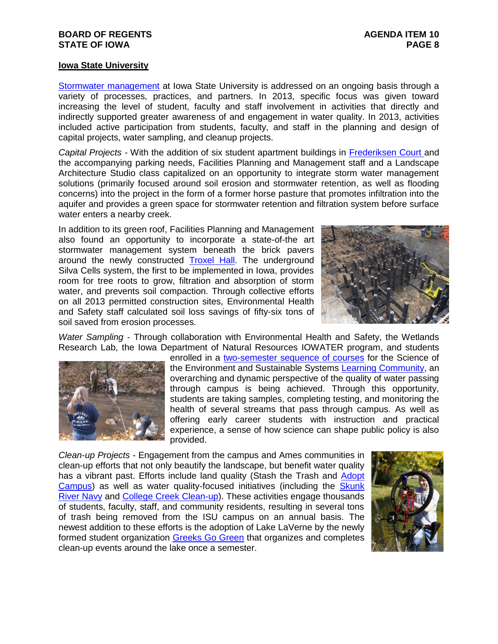#### **Iowa State University**

[Stormwater management](http://www.ehs.iastate.edu/environmental/stormwater) at Iowa State University is addressed on an ongoing basis through a variety of processes, practices, and partners. In 2013, specific focus was given toward increasing the level of student, faculty and staff involvement in activities that directly and indirectly supported greater awareness of and engagement in water quality. In 2013, activities included active participation from students, faculty, and staff in the planning and design of capital projects, water sampling, and cleanup projects.

*Capital Projects -* With the addition of six student apartment buildings in [Frederiksen Court a](http://www.inside.iastate.edu/index.php/article/2013/08/29/parking)nd the accompanying parking needs, Facilities Planning and Management staff and a Landscape Architecture Studio class capitalized on an opportunity to integrate storm water management solutions (primarily focused around soil erosion and stormwater retention, as well as flooding concerns) into the project in the form of a former horse pasture that promotes infiltration into the aquifer and provides a green space for stormwater retention and filtration system before surface water enters a nearby creek.

In addition to its green roof, Facilities Planning and Management also found an opportunity to incorporate a state-of-the art stormwater management system beneath the brick pavers around the newly constructed [Troxel Hall.](http://www.iowastatedaily.com/news/article_00a74b34-0085-11e3-814e-0019bb2963f4.html) The underground Silva Cells system, the first to be implemented in Iowa, provides room for tree roots to grow, filtration and absorption of storm water, and prevents soil compaction. Through collective efforts on all 2013 permitted construction sites, Environmental Health and Safety staff calculated soil loss savings of fifty-six tons of soil saved from erosion processes.



*Water Sampling -* Through collaboration with Environmental Health and Safety, the Wetlands Research Lab, the Iowa Department of Natural Resources IOWATER program, and students



enrolled in a [two-semester sequence of courses](http://www.news.iastate.edu/news/2014/02/19/watertesting2014) for the Science of the Environment and Sustainable Systems [Learning Community,](http://www.lc.iastate.edu/) an overarching and dynamic perspective of the quality of water passing through campus is being achieved. Through this opportunity, students are taking samples, completing testing, and monitoring the health of several streams that pass through campus. As well as offering early career students with instruction and practical experience, a sense of how science can shape public policy is also provided.

*Clean-up Projects -* Engagement from the campus and Ames communities in clean-up efforts that not only beautify the landscape, but benefit water quality has a vibrant past. Efforts include land quality (Stash the Trash and [Adopt](http://www.fpm.iastate.edu/kisb/adopt_campus.asp)  [Campus\)](http://www.fpm.iastate.edu/kisb/adopt_campus.asp) as well as water quality-focused initiatives (including the [Skunk](http://www.biology.iastate.edu/SRN/SRN.html)  [River Navy](http://www.biology.iastate.edu/SRN/SRN.html) and [College Creek Clean-up\)](http://www.inside.iastate.edu/article/2013/07/11/creek). These activities engage thousands of students, faculty, staff, and community residents, resulting in several tons of trash being removed from the ISU campus on an annual basis. The newest addition to these efforts is the adoption of Lake LaVerne by the newly formed student organization [Greeks Go Green](http://www.iowastatedaily.com/news/article_30c0a284-32c6-11e3-9cc4-001a4bcf887a.html) that organizes and completes clean-up events around the lake once a semester.

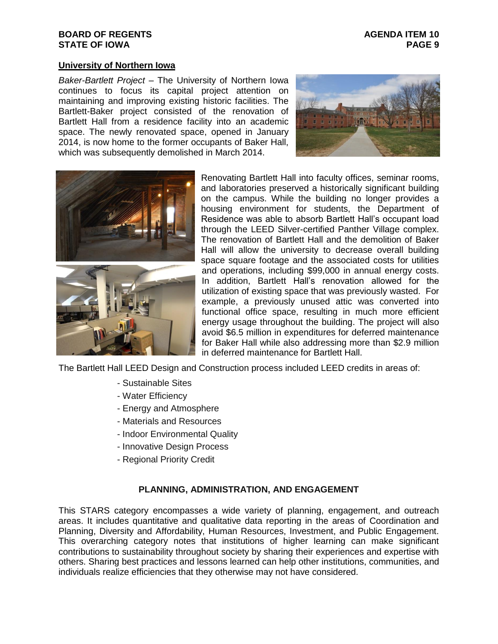#### **BOARD OF REGENTS AGENUM AGENUM AGENUM AGENUM STATE OF IOWA PAGE 9**

#### **University of Northern Iowa**

*Baker-Bartlett Project* – The University of Northern Iowa continues to focus its capital project attention on maintaining and improving existing historic facilities. The Bartlett-Baker project consisted of the renovation of Bartlett Hall from a residence facility into an academic space. The newly renovated space, opened in January 2014, is now home to the former occupants of Baker Hall, which was subsequently demolished in March 2014.





Renovating Bartlett Hall into faculty offices, seminar rooms, and laboratories preserved a historically significant building on the campus. While the building no longer provides a housing environment for students, the Department of Residence was able to absorb Bartlett Hall's occupant load through the LEED Silver-certified Panther Village complex. The renovation of Bartlett Hall and the demolition of Baker Hall will allow the university to decrease overall building space square footage and the associated costs for utilities and operations, including \$99,000 in annual energy costs. In addition, Bartlett Hall's renovation allowed for the utilization of existing space that was previously wasted. For example, a previously unused attic was converted into functional office space, resulting in much more efficient energy usage throughout the building. The project will also avoid \$6.5 million in expenditures for deferred maintenance for Baker Hall while also addressing more than \$2.9 million in deferred maintenance for Bartlett Hall.

The Bartlett Hall LEED Design and Construction process included LEED credits in areas of:

- Sustainable Sites
- Water Efficiency
- Energy and Atmosphere
- Materials and Resources
- Indoor Environmental Quality
- Innovative Design Process
- Regional Priority Credit

#### **PLANNING, ADMINISTRATION, AND ENGAGEMENT**

This STARS category encompasses a wide variety of planning, engagement, and outreach areas. It includes quantitative and qualitative data reporting in the areas of Coordination and Planning, Diversity and Affordability, Human Resources, Investment, and Public Engagement. This overarching category notes that institutions of higher learning can make significant contributions to sustainability throughout society by sharing their experiences and expertise with others. Sharing best practices and lessons learned can help other institutions, communities, and individuals realize efficiencies that they otherwise may not have considered.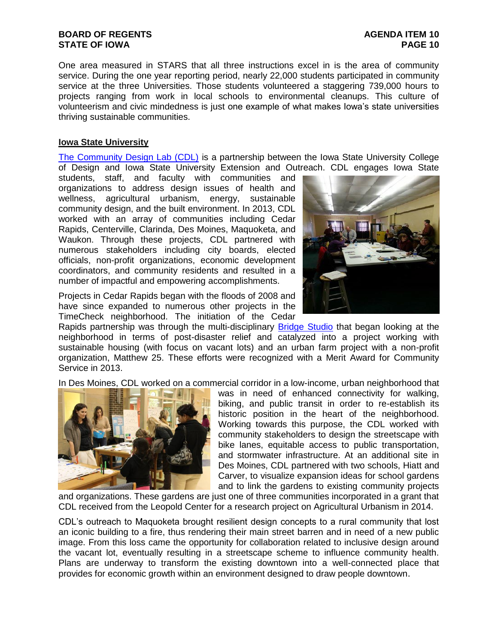One area measured in STARS that all three instructions excel in is the area of community service. During the one year reporting period, nearly 22,000 students participated in community service at the three Universities. Those students volunteered a staggering 739,000 hours to projects ranging from work in local schools to environmental cleanups. This culture of volunteerism and civic mindedness is just one example of what makes Iowa's state universities thriving sustainable communities.

## **Iowa State University**

[The Community Design Lab \(CDL\)](http://research.design.iastate.edu/communitydesignlab/) is a partnership between the Iowa State University College of Design and Iowa State University Extension and Outreach. CDL engages Iowa State

students, staff, and faculty with communities and organizations to address design issues of health and wellness, agricultural urbanism, energy, sustainable community design, and the built environment. In 2013, CDL worked with an array of communities including Cedar Rapids, Centerville, Clarinda, Des Moines, Maquoketa, and Waukon. Through these projects, CDL partnered with numerous stakeholders including city boards, elected officials, non-profit organizations, economic development coordinators, and community residents and resulted in a number of impactful and empowering accomplishments.



Projects in Cedar Rapids began with the floods of 2008 and have since expanded to numerous other projects in the TimeCheck neighborhood. The initiation of the Cedar

Rapids partnership was through the multi-disciplinary [Bridge Studio](http://www.design.iastate.edu/ResearchOutreach/bridgestudio.php) that began looking at the neighborhood in terms of post-disaster relief and catalyzed into a project working with sustainable housing (with focus on vacant lots) and an urban farm project with a non-profit organization, Matthew 25. These efforts were recognized with a Merit Award for Community Service in 2013.

In Des Moines, CDL worked on a commercial corridor in a low-income, urban neighborhood that



was in need of enhanced connectivity for walking, biking, and public transit in order to re-establish its historic position in the heart of the neighborhood. Working towards this purpose, the CDL worked with community stakeholders to design the streetscape with bike lanes, equitable access to public transportation, and stormwater infrastructure. At an additional site in Des Moines, CDL partnered with two schools, Hiatt and Carver, to visualize expansion ideas for school gardens and to link the gardens to existing community projects

and organizations. These gardens are just one of three communities incorporated in a grant that CDL received from the Leopold Center for a research project on Agricultural Urbanism in 2014.

CDL's outreach to Maquoketa brought resilient design concepts to a rural community that lost an iconic building to a fire, thus rendering their main street barren and in need of a new public image. From this loss came the opportunity for collaboration related to inclusive design around the vacant lot, eventually resulting in a streetscape scheme to influence community health. Plans are underway to transform the existing downtown into a well-connected place that provides for economic growth within an environment designed to draw people downtown.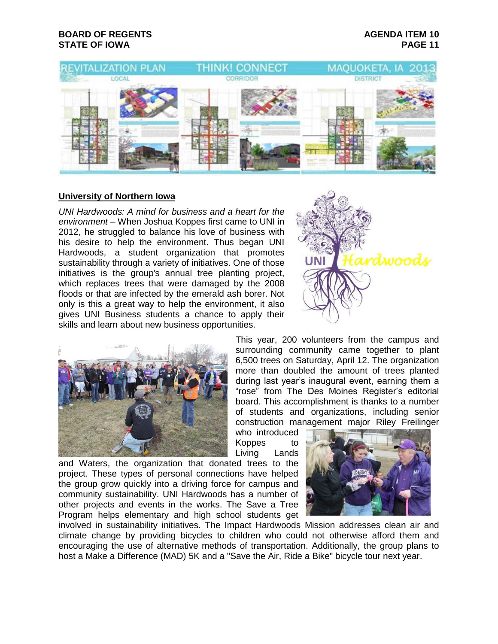

#### **University of Northern Iowa**

*UNI Hardwoods: A mind for business and a heart for the environment –* When Joshua Koppes first came to UNI in 2012, he struggled to balance his love of business with his desire to help the environment. Thus began UNI Hardwoods, a student organization that promotes sustainability through a variety of initiatives. One of those initiatives is the group's annual tree planting project, which replaces trees that were damaged by the 2008 floods or that are infected by the emerald ash borer. Not only is this a great way to help the environment, it also gives UNI Business students a chance to apply their skills and learn about new business opportunities.





This year, 200 volunteers from the campus and surrounding community came together to plant 6,500 trees on Saturday, April 12. The organization more than doubled the amount of trees planted during last year's inaugural event, earning them a "rose" from The Des Moines Register's editorial board. This accomplishment is thanks to a number of students and organizations, including senior construction management major Riley Freilinger

who introduced Koppes to Living Lands

and Waters, the organization that donated trees to the project. These types of personal connections have helped the group grow quickly into a driving force for campus and community sustainability. UNI Hardwoods has a number of other projects and events in the works. The Save a Tree Program helps elementary and high school students get



involved in sustainability initiatives. The Impact Hardwoods Mission addresses clean air and climate change by providing bicycles to children who could not otherwise afford them and encouraging the use of alternative methods of transportation. Additionally, the group plans to host a Make a Difference (MAD) 5K and a "Save the Air, Ride a Bike" bicycle tour next year.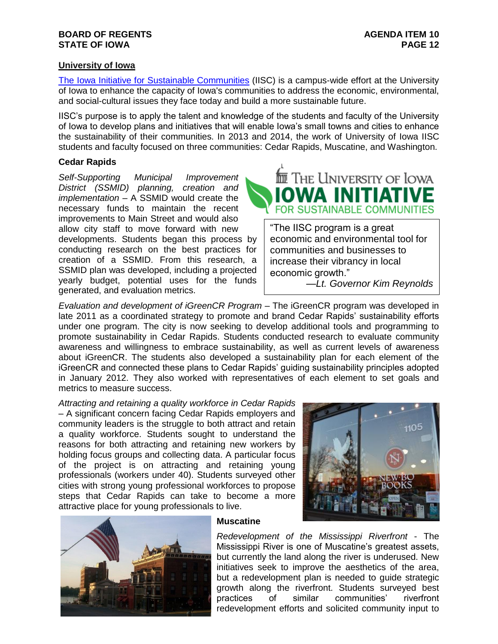## **University of Iowa**

[The Iowa Initiative for Sustainable Communities](http://www.urban.uiowa.edu/iowa-initiative-for-sustainable-communities) (IISC) is a campus-wide effort at the University of Iowa to enhance the capacity of Iowa's communities to address the economic, environmental, and social-cultural issues they face today and build a more sustainable future.

IISC's purpose is to apply the talent and knowledge of the students and faculty of the University of Iowa to develop plans and initiatives that will enable Iowa's small towns and cities to enhance the sustainability of their communities. In 2013 and 2014, the work of University of Iowa IISC students and faculty focused on three communities: Cedar Rapids, Muscatine, and Washington.

#### **Cedar Rapids**

*Self-Supporting Municipal Improvement District (SSMID) planning, creation and implementation* – A SSMID would create the necessary funds to maintain the recent improvements to Main Street and would also allow city staff to move forward with new developments. Students began this process by conducting research on the best practices for creation of a SSMID. From this research, a SSMID plan was developed, including a projected yearly budget, potential uses for the funds generated, and evaluation metrics.



["The IISC program is a great](http://iisc.uiowa.edu/)  economic and environmental tool for communities and businesses to increase their vibrancy in local economic growth."

*—Lt. Governor Kim Reynolds*

Evaluation and development of iGreenCR Program - The iGreenCR program was developed in late 2011 as a coordinated strategy to promote and brand Cedar Rapids' sustainability efforts under one program. The city is now seeking to develop additional tools and programming to promote sustainability in Cedar Rapids. Students conducted research to evaluate community awareness and willingness to embrace sustainability, as well as current levels of awareness about iGreenCR. The students also developed a sustainability plan for each element of the iGreenCR and connected these plans to Cedar Rapids' guiding sustainability principles adopted in January 2012. They also worked with representatives of each element to set goals and metrics to measure success.

*Attracting and retaining a quality workforce in Cedar Rapids* – A significant concern facing Cedar Rapids employers and community leaders is the struggle to both attract and retain a quality workforce. Students sought to understand the reasons for both attracting and retaining new workers by holding focus groups and collecting data. A particular focus of the project is on attracting and retaining young professionals (workers under 40). Students surveyed other cities with strong young professional workforces to propose steps that Cedar Rapids can take to become a more attractive place for young professionals to live.





#### **Muscatine**

*Redevelopment of the Mississippi Riverfront* - The Mississippi River is one of Muscatine's greatest assets, but currently the land along the river is underused. New initiatives seek to improve the aesthetics of the area, but a redevelopment plan is needed to guide strategic growth along the riverfront. Students surveyed best practices of similar communities' riverfront redevelopment efforts and solicited community input to